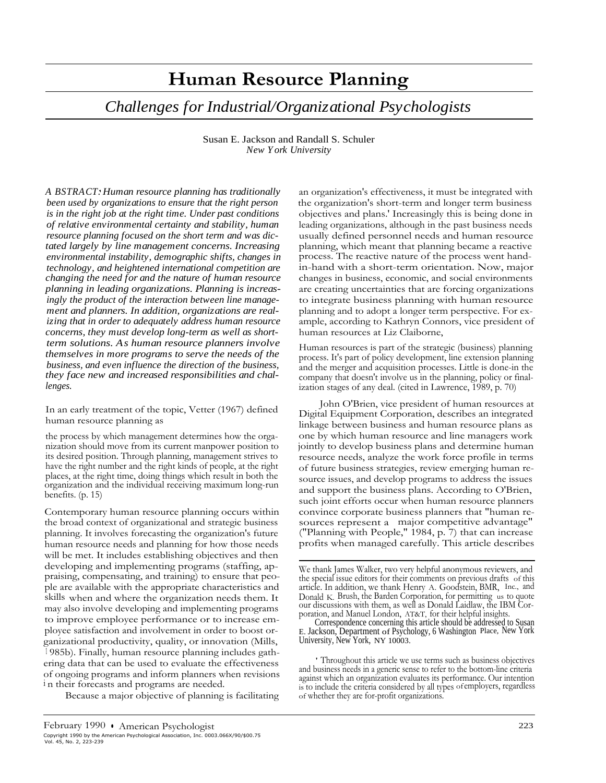# **Human Resource Planning**

# *Challenges for Industrial/Organizational Psychologists*

Susan E. Jackson and Randall S. Schuler *New York University*

*A BSTRACT:• Human resource planning has traditionally been used by organizations to ensure that the right person is in the right job at the right time. Under past conditions of relative environmental certainty and stability, human resource planning focused on the short term and was dictated largely by line management concerns. Increasing environmental instability, demographic shifts, changes in technology, and heightened international competition are changing the need for and the nature of human resource planning in leading organizations. Planning is increasingly the product of the interaction between line management and planners. In addition, organizations are realizing that in order to adequately address human resource concerns, they must develop long-term as well as shortterm solutions. As human resource planners involve themselves in more programs to serve the needs of the business, and even influence the direction of the business, they face new and increased responsibilities and challenges.*

In an early treatment of the topic, Vetter (1967) defined human resource planning as

the process by which management determines how the organization should move from its current manpower position to its desired position. Through planning, management strives to have the right number and the right kinds of people, at the right places, at the right time, doing things which result in both the organization and the individual receiving maximum long-run benefits. (p. 15)

Contemporary human resource planning occurs within the broad context of organizational and strategic business planning. It involves forecasting the organization's future human resource needs and planning for how those needs will be met. It includes establishing objectives and then developing and implementing programs (staffing, appraising, compensating, and training) to ensure that people are available with the appropriate characteristics and skills when and where the organization needs them. It may also involve developing and implementing programs to improve employee performance or to increase employee satisfaction and involvement in order to boost organizational productivity, quality, or innovation (Mills, <sup>1</sup> 985b). Finally, human resource planning includes gathering data that can be used to evaluate the effectiveness of ongoing programs and inform planners when revisions i n their forecasts and programs are needed.

Because a major objective of planning is facilitating

an organization's effectiveness, it must be integrated with the organization's short-term and longer term business objectives and plans.' Increasingly this is being done in leading organizations, although in the past business needs usually defined personnel needs and human resource planning, which meant that planning became a reactive process. The reactive nature of the process went handin-hand with a short-term orientation. Now, major changes in business, economic, and social environments are creating uncertainties that are forcing organizations to integrate business planning with human resource planning and to adopt a longer term perspective. For example, according to Kathryn Connors, vice president of human resources at Liz Claiborne,

Human resources is part of the strategic (business) planning process. It's part of policy development, line extension planning and the merger and acquisition processes. Little is done-in the company that doesn't involve us in the planning, policy or finalization stages of any deal. (cited in Lawrence, 1989, p. 70)

John O'Brien, vice president of human resources at Digital Equipment Corporation, describes an integrated linkage between business and human resource plans as one by which human resource and line managers work jointly to develop business plans and determine human resource needs, analyze the work force profile in terms of future business strategies, review emerging human resource issues, and develop programs to address the issues and support the business plans. According to O'Brien, such joint efforts occur when human resource planners convince corporate business planners that "human resources represent a major competitive advantage" ("Planning with People," 1984, p. 7) that can increase profits when managed carefully. This article describes

Correspondence concerning this article should be addressed to Susan E. Jackson, Department of Psychology, 6 Washington Place, New York University, New York, NY 10003.

' Throughout this article we use terms such as business objectives and business needs in a generic sense to refer to the bottom-line criteria against which an organization evaluates its performance. Our intention is to include the criteria considered by all types of employers, regardless of whether they are for-profit organizations.

We thank James Walker, two very helpful anonymous reviewers, and the special issue editors for their comments on previous drafts of this article. In addition, we thank Henry A. Goodstein, BMR, Inc., and Donald K. Brush, the Barden Corporation, for permitting us to quote our discussions with them, as well as Donald Laidlaw, the IBM Corporation, and Manuel London, AT&T, for their helpful insights.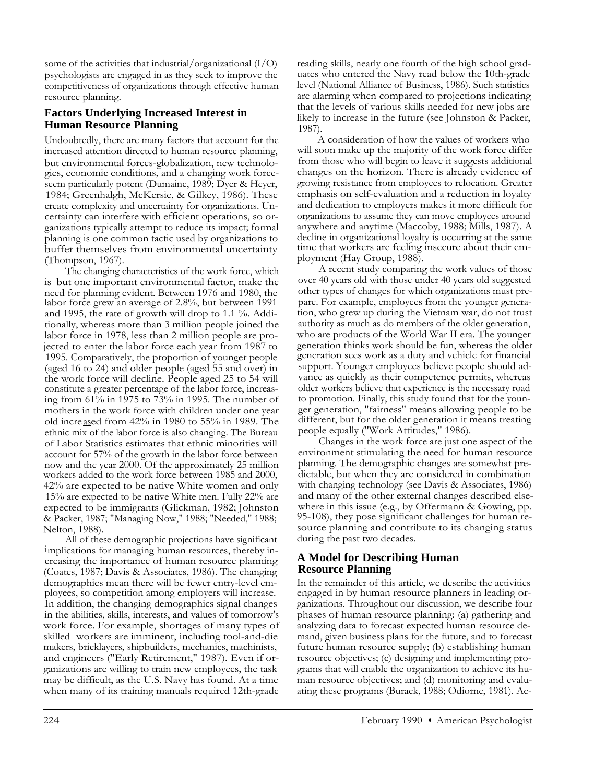some of the activities that industrial/organizational  $(I/O)$ psychologists are engaged in as they seek to improve the competitiveness of organizations through effective human resource planning.

# **Factors Underlying Increased Interest in Human Resource Planning**

Undoubtedly, there are many factors that account for the increased attention directed to human resource planning, but environmental forces-globalization, new technologies, economic conditions, and a changing work forceseem particularly potent (Dumaine, 1989; Dyer & Heyer, 1984; Greenhalgh, McKersie, & Gilkey, 1986). These create complexity and uncertainty for organizations. Uncertainty can interfere with efficient operations, so organizations typically attempt to reduce its impact; formal planning is one common tactic used by organizations to buffer themselves from environmental uncertainty (Thompson, 1967).

The changing characteristics of the work force, which is but one important environmental factor, make the need for planning evident. Between 1976 and 1980, the labor force grew an average of 2.8%, but between 1991 and 1995, the rate of growth will drop to 1.1 %. Additionally, whereas more than 3 million people joined the labor force in 1978, less than 2 million people are projected to enter the labor force each year from 1987 to 1995. Comparatively, the proportion of younger people (aged 16 to 24) and older people (aged 55 and over) in the work force will decline. People aged 25 to 54 will constitute a greater percentage of the labor force, increasing from  $61\%$  in 1975 to 73% in 1995. The number of mothers in the work force with children under one year old incre ased from 42% in 1980 to 55% in 1989. The ethnic mix of the labor force is also changing. The Bureau of Labor Statistics estimates that ethnic minorities will account for 57% of the growth in the labor force between now and the year 2000. Of the approximately 25 million workers added to the work force between 1985 and 2000, 42% are expected to be native White women and only 15% are expected to be native White men. Fully 22% are expected to be immigrants (Glickman, 1982; Johnston & Packer, 1987; "Managing Now," 1988; "Needed," 1988; Nelton, 1988).

All of these demographic projections have significant implications for managing human resources, thereby increasing the importance of human resource planning (Coates, 1987; Davis & Associates, 1986). The changing demographics mean there will be fewer entry-level employees, so competition among employers will increase. In addition, the changing demographics signal changes in the abilities, skills, interests, and values of tomorrow's work force. For example, shortages of many types of skilled workers are imminent, including tool-and-die makers, bricklayers, shipbuilders, mechanics, machinists, and engineers ("Early Retirement," 1987). Even if organizations are willing to train new employees, the task may be difficult, as the U.S. Navy has found. At a time when many of its training manuals required 12th-grade reading skills, nearly one fourth of the high school graduates who entered the Navy read below the 10th-grade level (National Alliance of Business, 1986). Such statistics are alarming when compared to projections indicating that the levels of various skills needed for new jobs are likely to increase in the future (see Johnston & Packer, 1987).

A consideration of how the values of workers who will soon make up the majority of the work force differ from those who will begin to leave it suggests additional changes on the horizon. There is already evidence of growing resistance from employees to relocation. Greater emphasis on self-evaluation and a reduction in loyalty and dedication to employers makes it more difficult for organizations to assume they can move employees around anywhere and anytime (Maccoby, 1988; Mills, 1987). A decline in organizational loyalty is occurring at the same time that workers are feeling insecure about their employment (Hay Group, 1988).

A recent study comparing the work values of those over 40 years old with those under 40 years old suggested other types of changes for which organizations must prepare. For example, employees from the younger generation, who grew up during the Vietnam war, do not trust authority as much as do members of the older generation, who are products of the World War II era. The younger generation thinks work should be fun, whereas the older generation sees work as a duty and vehicle for financial support. Younger employees believe people should advance as quickly as their competence permits, whereas older workers believe that experience is the necessary road to promotion. Finally, this study found that for the younger generation, "fairness" means allowing people to be different, but for the older generation it means treating people equally ("Work Attitudes," 1986).

Changes in the work force are just one aspect of the environment stimulating the need for human resource planning. The demographic changes are somewhat predictable, but when they are considered in combination with changing technology (see Davis & Associates, 1986) and many of the other external changes described elsewhere in this issue (e.g., by Offermann & Gowing, pp. 95-108), they pose significant challenges for human resource planning and contribute to its changing status during the past two decades.

# **A Model for Describing Human Resource Planning**

In the remainder of this article, we describe the activities engaged in by human resource planners in leading organizations. Throughout our discussion, we describe four phases of human resource planning: (a) gathering and analyzing data to forecast expected human resource demand, given business plans for the future, and to forecast future human resource supply; (b) establishing human resource objectives; (c) designing and implementing programs that will enable the organization to achieve its human resource objectives; and (d) monitoring and evaluating these programs (Burack, 1988; Odiorne, 1981). Ac-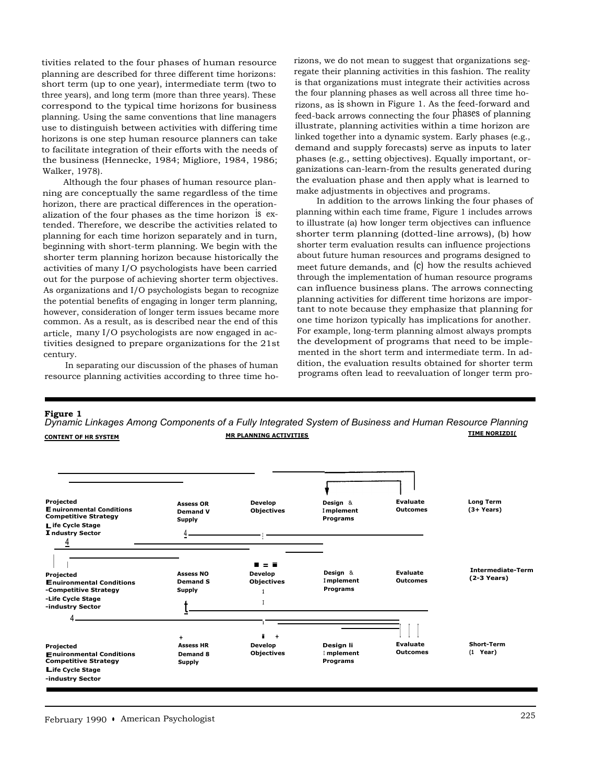tivities related to the four phases of human resource planning are described for three different time horizons: short term (up to one year), intermediate term (two to three years), and long term (more than three years). These correspond to the typical time horizons for business planning. Using the same conventions that line managers use to distinguish between activities with differing time horizons is one step human resource planners can take to facilitate integration of their efforts with the needs of the business (Hennecke, 1984; Migliore, 1984, 1986; Walker, 1978).

Although the four phases of human resource planning are conceptually the same regardless of the time horizon, there are practical differences in the operationalization of the four phases as the time horizon is extended. Therefore, we describe the activities related to planning for each time horizon separately and in turn, beginning with short-term planning. We begin with the shorter term planning horizon because historically the activities of many I/O psychologists have been carried out for the purpose of achieving shorter term objectives. As organizations and I/O psychologists began to recognize the potential benefits of engaging in longer term planning, however, consideration of longer term issues became more common. As a result, as is described near the end of this article, many I/O psychologists are now engaged in activities designed to prepare organizations for the 21st century.

In separating our discussion of the phases of human resource planning activities according to three time horizons, we do not mean to suggest that organizations segregate their planning activities in this fashion. The reality is that organizations must integrate their activities across the four planning phases as well across all three time horizons, as is shown in Figure 1. As the feed-forward and feed-back arrows connecting the four phases of planning illustrate, planning activities within a time horizon are linked together into a dynamic system. Early phases (e.g., demand and supply forecasts) serve as inputs to later phases (e.g., setting objectives). Equally important, organizations can-learn-from the results generated during the evaluation phase and then apply what is learned to make adjustments in objectives and programs.

In addition to the arrows linking the four phases of planning within each time frame, Figure 1 includes arrows to illustrate (a) how longer term objectives can influence shorter term planning (dotted-line arrows), (b) how shorter term evaluation results can influence projections about future human resources and programs designed to meet future demands, and (c) how the results achieved through the implementation of human resource programs can influence business plans. The arrows connecting planning activities for different time horizons are important to note because they emphasize that planning for one time horizon typically has implications for another. For example, long-term planning almost always prompts the development of programs that need to be implemented in the short term and intermediate term. In addition, the evaluation results obtained for shorter term programs often lead to reevaluation of longer term pro-

#### **Figure 1**

*Dynamic Linkages Among Components of a Fully Integrated System of Business and Human Resource Planning* **CONTENT OF HR SYSTEM MR PLANNING ACTIVITIES TIME NORIZDI(**

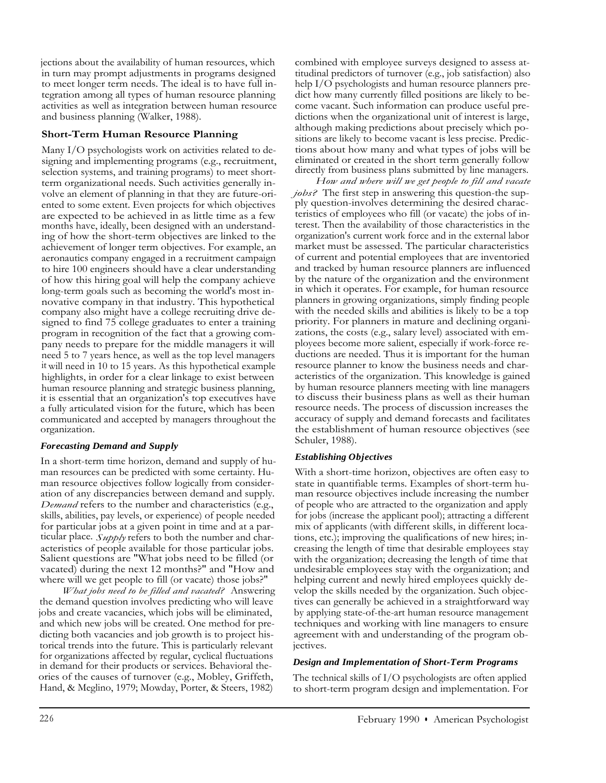jections about the availability of human resources, which in turn may prompt adjustments in programs designed to meet longer term needs. The ideal is to have full integration among all types of human resource planning activities as well as integration between human resource and business planning (Walker, 1988).

## **Short-Term Human Resource Planning**

Many I/O psychologists work on activities related to designing and implementing programs (e.g., recruitment, selection systems, and training programs) to meet shortterm organizational needs. Such activities generally involve an element of planning in that they are future-oriented to some extent. Even projects for which objectives are expected to be achieved in as little time as a few months have, ideally, been designed with an understanding of how the short-term objectives are linked to the achievement of longer term objectives. For example, an aeronautics company engaged in a recruitment campaign to hire 100 engineers should have a clear understanding of how this hiring goal will help the company achieve long-term goals such as becoming the world's most innovative company in that industry. This hypothetical company also might have a college recruiting drive designed to find 75 college graduates to enter a training program in recognition of the fact that a growing company needs to prepare for the middle managers it will need 5 to 7 years hence, as well as the top level managers it will need in 10 to 15 years. As this hypothetical example highlights, in order for a clear linkage to exist between human resource planning and strategic business planning, it is essential that an organization's top executives have a fully articulated vision for the future, which has been communicated and accepted by managers throughout the organization.

## *Forecasting Demand and Supply*

In a short-term time horizon, demand and supply of human resources can be predicted with some certainty. Human resource objectives follow logically from consideration of any discrepancies between demand and supply. *Demand* refers to the number and characteristics (e.g., skills, abilities, pay levels, or experience) of people needed for particular jobs at a given point in time and at a particular place. *Supply*refers to both the number and characteristics of people available for those particular jobs. Salient questions are "What jobs need to be filled (or vacated) during the next 12 months?" and "How and where will we get people to fill (or vacate) those jobs?"

*What jobs need to be filled and vacated?* Answering the demand question involves predicting who will leave jobs and create vacancies, which jobs will be eliminated, and which new jobs will be created. One method for predicting both vacancies and job growth is to project historical trends into the future. This is particularly relevant for organizations affected by regular, cyclical fluctuations in demand for their products or services. Behavioral theories of the causes of turnover (e.g., Mobley, Griffeth, Hand, & Meglino, 1979; Mowday, Porter, & Steers, 1982)

combined with employee surveys designed to assess attitudinal predictors of turnover (e.g., job satisfaction) also help I/O psychologists and human resource planners predict how many currently filled positions are likely to become vacant. Such information can produce useful predictions when the organizational unit of interest is large, although making predictions about precisely which positions are likely to become vacant is less precise. Predictions about how many and what types of jobs will be eliminated or created in the short term generally follow directly from business plans submitted by line managers.

*How and where will we get people to fill and vacate jobs?* The first step in answering this question-the supply question-involves determining the desired characteristics of employees who fill (or vacate) the jobs of interest. Then the availability of those characteristics in the organization's current work force and in the external labor market must be assessed. The particular characteristics of current and potential employees that are inventoried and tracked by human resource planners are influenced by the nature of the organization and the environment in which it operates. For example, for human resource planners in growing organizations, simply finding people with the needed skills and abilities is likely to be a top priority. For planners in mature and declining organizations, the costs (e.g., salary level) associated with employees become more salient, especially if work-force reductions are needed. Thus it is important for the human resource planner to know the business needs and characteristics of the organization. This knowledge is gained by human resource planners meeting with line managers to discuss their business plans as well as their human resource needs. The process of discussion increases the accuracy of supply and demand forecasts and facilitates the establishment of human resource objectives (see Schuler, 1988).

## *Establishing Objectives*

With a short-time horizon, objectives are often easy to state in quantifiable terms. Examples of short-term human resource objectives include increasing the number of people who are attracted to the organization and apply for jobs (increase the applicant pool); attracting a different mix of applicants (with different skills, in different locations, etc.); improving the qualifications of new hires; increasing the length of time that desirable employees stay with the organization; decreasing the length of time that undesirable employees stay with the organization; and helping current and newly hired employees quickly develop the skills needed by the organization. Such objectives can generally be achieved in a straightforward way by applying state-of-the-art human resource management techniques and working with line managers to ensure agreement with and understanding of the program objectives.

## *Design and Implementation of Short-Term Programs*

The technical skills of I/O psychologists are often applied to short-term program design and implementation. For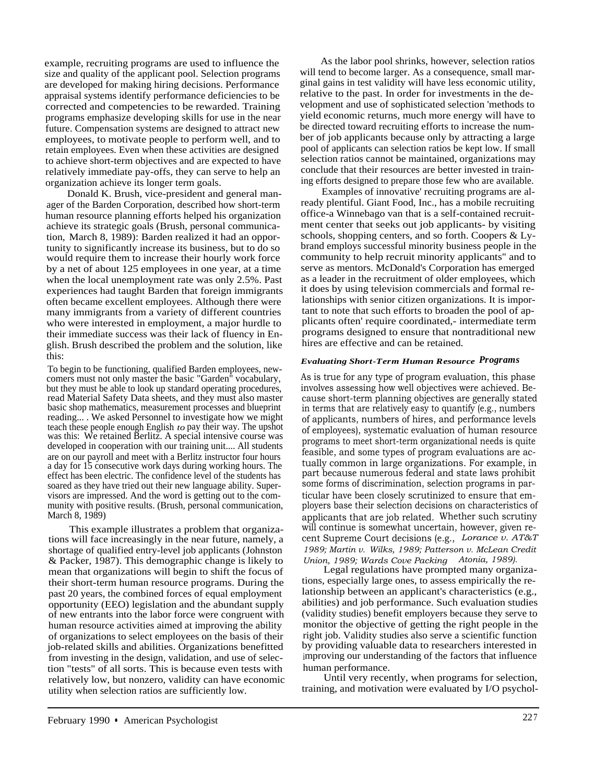example, recruiting programs are used to influence the size and quality of the applicant pool. Selection programs are developed for making hiring decisions. Performance appraisal systems identify performance deficiencies to be corrected and competencies to be rewarded. Training programs emphasize developing skills for use in the near future. Compensation systems are designed to attract new employees, to motivate people to perform well, and to retain employees. Even when these activities are designed to achieve short-term objectives and are expected to have relatively immediate pay-offs, they can serve to help an organization achieve its longer term goals.

Donald K. Brush, vice-president and general manager of the Barden Corporation, described how short-term human resource planning efforts helped his organization achieve its strategic goals (Brush, personal communication, March 8, 1989): Barden realized it had an opportunity to significantly increase its business, but to do so would require them to increase their hourly work force by a net of about 125 employees in one year, at a time when the local unemployment rate was only 2.5%. Past experiences had taught Barden that foreign immigrants often became excellent employees. Although there were many immigrants from a variety of different countries who were interested in employment, a major hurdle to their immediate success was their lack of fluency in English. Brush described the problem and the solution, like this:

To begin to be functioning, qualified Barden employees, newcomers must not only master the basic "Garden" vocabulary, but they must be able to look up standard operating procedures, read Material Safety Data sheets, and they must also master basic shop mathematics, measurement processes and blueprint reading... . We asked Personnel to investigate how we might teach these people enough English *to* pay their way. The upshot was this: We retained Berlitz. A special intensive course was developed in cooperation with our training unit.... All students are on our payroll and meet with a Berlitz instructor four hours a day for 15 consecutive work days during working hours. The effect has been electric. The confidence level of the students has soared as they have tried out their new language ability. Supervisors are impressed. And the word is getting out to the community with positive results. (Brush, personal communication, March 8, 1989)

This example illustrates a problem that organizations will face increasingly in the near future, namely, a shortage of qualified entry-level job applicants (Johnston & Packer, 1987). This demographic change is likely to mean that organizations will begin to shift the focus of their short-term human resource programs. During the past 20 years, the combined forces of equal employment opportunity (EEO) legislation and the abundant supply of new entrants into the labor force were congruent with human resource activities aimed at improving the ability of organizations to select employees on the basis of their job-related skills and abilities. Organizations benefitted from investing in the design, validation, and use of selection "tests" of all sorts. This is because even tests with relatively low, but nonzero, validity can have economic utility when selection ratios are sufficiently low.

As the labor pool shrinks, however, selection ratios will tend to become larger. As a consequence, small marginal gains in test validity will have less economic utility, relative to the past. In order for investments in the development and use of sophisticated selection 'methods to yield economic returns, much more energy will have to be directed toward recruiting efforts to increase the number of job applicants because only by attracting a large pool of applicants can selection ratios be kept low. If small selection ratios cannot be maintained, organizations may conclude that their resources are better invested in training efforts designed to prepare those few who are available.

Examples of innovative' recruiting programs are already plentiful. Giant Food, Inc., has a mobile recruiting office-a Winnebago van that is a self-contained recruitment center that seeks out job applicants- by visiting schools, shopping centers, and so forth. Coopers & Lybrand employs successful minority business people in the community to help recruit minority applicants'' and to serve as mentors. McDonald's Corporation has emerged as a leader in the recruitment of older employees, which it does by using television commercials and formal relationships with senior citizen organizations. It is important to note that such efforts to broaden the pool of applicants often' require coordinated,- intermediate term programs designed to ensure that nontraditional new hires are effective and can be retained.

## *Evaluating Short-Term Human Resource Programs*

As is true for any type of program evaluation, this phase involves assessing how well objectives were achieved. Because short-term planning objectives are generally stated in terms that are relatively easy to quantify (e.g., numbers of applicants, numbers of hires, and performance levels of employees), systematic evaluation of human resource programs to meet short-term organizational needs is quite feasible, and some types of program evaluations are actually common in large organizations. For example, in part because numerous federal and state laws prohibit some forms of discrimination, selection programs in particular have been closely scrutinized to ensure that employers base their selection decisions on characteristics of applicants that are job related. Whether such scrutiny will continue is somewhat uncertain, however, given recent Supreme Court decisions (e.g., *Lorance v. AT&T 1989; Martin v. Wilks, 1989; Patterson v. McLean Credit Union, 1989; Wards Cove Packing Atonia, 1989).*

Legal regulations have prompted many organizations, especially large ones, to assess empirically the relationship between an applicant's characteristics (e.g., abilities) and job performance. Such evaluation studies (validity studies) benefit employers because they serve to monitor the objective of getting the right people in the right job. Validity studies also serve a scientific function by providing valuable data to researchers interested in improving our understanding of the factors that influence human performance.

Until very recently, when programs for selection, training, and motivation were evaluated by I/O psychol-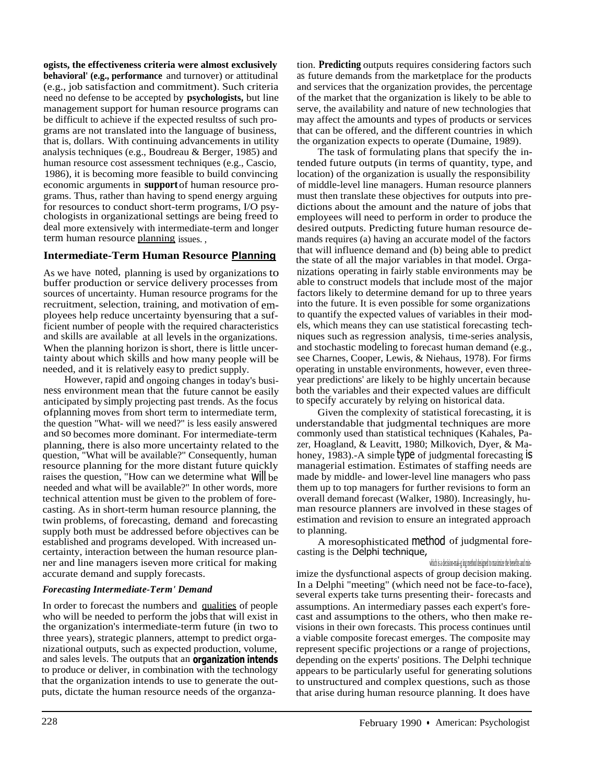**ogists, the effectiveness criteria were almost exclusively behavioral' (e.g., performance** and turnover) or attitudinal (e.g., job satisfaction and commitment). Such criteria need no defense to be accepted by **psychologists,** but line management support for human resource programs can be difficult to achieve if the expected resultss of such programs are not translated into the language of business, that is, dollars. With continuing advancements in utility analysis techniques (e.g., Boudreau & Berger, 1985) and human resource cost assessment techniques (e.g., Cascio, 1986), it is becoming more feasible to build convincing economic arguments in **support**of human resource programs. Thus, rather than having to spend energy arguing for resources to conduct short-term programs, I/O psychologists in organizational settings are being freed to deal more extensively with intermediate-term and longer term human resource planning issues. ,

## **Intermediate-Term Human Resource Planning**

As we have noted, planning is used by organizations to buffer production or service delivery processes from sources of uncertainty. Human resource programs for the recruitment, selection, training, and motivation of employees help reduce uncertainty byensuring that a sufficient number of people with the required characteristics and skills are available at all levels in the organizations. When the planning horizon is short, there is little uncertainty about which skills and how many people will be needed, and it is relatively easy to predict supply.

However, rapid and ongoing changes in today's business environment mean that the future cannot be easily anticipated by simply projecting past trends. As the focus ofplanning moves from short term to intermediate term, the question "What- will we need?" is less easily answered and so becomes more dominant. For intermediate-term planning, there is also more uncertainty related to the question, "What will be available?" Consequently, human resource planning for the more distant future quickly raises the question, "How can we determine what will be needed and what will be available?" In other words, more technical attention must be given to the problem of forecasting. As in short-term human resource planning, the twin problems, of forecasting, demand and forecasting supply both must be addressed before objectives can be established and programs developed. With increased uncertainty, interaction between the human resource planner and line managers iseven more critical for making accurate demand and supply forecasts.

## *Forecasting Intermediate-Term' Demand*

In order to forecast the numbers and qualities of people who will be needed to perform the jobs that will exist in the organization's intermediate-term future (in two to three years), strategic planners, attempt to predict organizational outputs, such as expected production, volume, and sales levels. The outputs that an **organization intends** to produce or deliver, in combination with the technology that the organization intends to use to generate the outputs, dictate the human resource needs of the organzation. **Predicting** outputs requires considering factors such as future demands from the marketplace for the products and services that the organization provides, the percentage of the market that the organization is likely to be able to serve, the availability and nature of new technologies that may affect the amounts and types of products or services that can be offered, and the different countries in which the organization expects to operate (Dumaine, 1989).

The task of formulating plans that specify the intended future outputs (in terms of quantity, type, and location) of the organization is usually the responsibility of middle-level line managers. Human resource planners must then translate these objectives for outputs into predictions about the amount and the nature of jobs that employees will need to perform in order to produce the desired outputs. Predicting future human resource demands requires (a) having an accurate model of the factors that will influence demand and (b) being able to predict the state of all the major variables in that model. Organizations operating in fairly stable environments may be able to construct models that include most of the major factors likely to determine demand for up to three years into the future. It is even possible for some organizations to quantify the expected values of variables in their models, which means they can use statistical forecasting techniques such as regression analysis, time-series analysis, and stochastic modeling to forecast human demand (e.g., see Charnes, Cooper, Lewis, & Niehaus, 1978). For firms operating in unstable environments, however, even threeyear predictions' are likely to be highly uncertain because both the variables and their expected values are difficult to specify accurately by relying on historical data.

Given the complexity of statistical forecasting, it is understandable that judgmental techniques are more commonly used than statistical techniques (Kahales, Pazer, Hoagland, & Leavitt, 1980; Milkovich, Dyer, & Mahoney, 1983).-A simple type of judgmental forecasting is managerial estimation. Estimates of staffing needs are made by middle- and lower-level line managers who pass them up to top managers for further revisions to form an overall demand forecast (Walker, 1980). Increasingly, human resource planners are involved in these stages of estimation and revision to ensure an integrated approach to planning.

A moresophisticated method of judgmental forecasting is the Delphi technique,

which is a decision-mak-g ing method designed to maximize the benefits and min-

imize the dysfunctional aspects of group decision making. In a Delphi "meeting" (which need not be face-to-face), several experts take turns presenting their- forecasts and assumptions. An intermediary passes each expert's forecast and assumptions to the others, who then make revisions in their own forecasts. This process continues until a viable composite forecast emerges. The composite may represent specific projections or a range of projections, depending on the experts' positions. The Delphi technique appears to be particularly useful for generating solutions to unstructured and complex questions, such as those that arise during human resource planning. It does have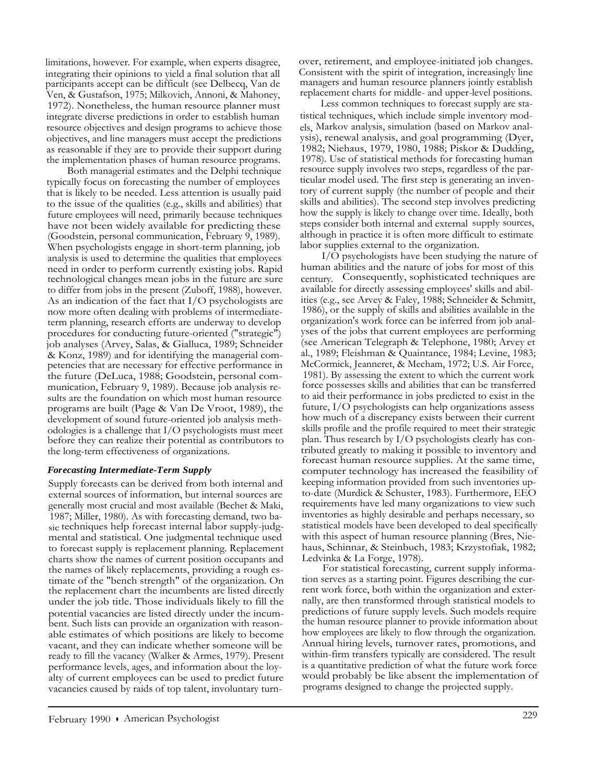limitations, however. For example, when experts disagree, integrating their opinions to yield a final solution that all participants accept can be difficult (see Delbecq, Van de Ven, & Gustafson, 1975; Milkovich, Annoni, & Mahoney, 1972). Nonetheless, the human resource planner must integrate diverse predictions in order to establish human resource objectives and design programs to achieve those objectives, and line managers must accept the predictions as reasonable if they are to provide their support during the implementation phases of human resource programs.

Both managerial estimates and the Delphi technique typically focus on forecasting the number of employees that is likely to be needed. Less attention is usually paid to the issue of the qualities (e.g., skills and abilities) that future employees will need, primarily because techniques have not been widely available for predicting these (Goodstein, personal communication, February 9, 1989). When psychologists engage in short-term planning, job analysis is used to determine the qualities that employees need in order to perform currently existing jobs. Rapid technological changes mean jobs in the future are sure to differ from jobs in the present (Zuboff, 1988), however. As an indication of the fact that I/O psychologists are now more often dealing with problems of intermediateterm planning, research efforts are underway to develop procedures for conducting future-oriented ("strategic" job analyses (Arvey, Salas, & Gialluca, 1989; Schneider & Konz, 1989) and for identifying the managerial competencies that are necessary for effective performance in the future (DeLuca, 1988; Goodstein, personal communication, February 9, 1989). Because job analysis results are the foundation on which most human resource programs are built (Page & Van De Vroot, 1989), the development of sound future-oriented job analysis methodologies is a challenge that I/O psychologists must meet before they can realize their potential as contributors to the long-term effectiveness of organizations.

## *Forecasting Intermediate-Term Supply*

Supply forecasts can be derived from both internal and external sources of information, but internal sources are generally most crucial and most available (Bechet & Maki, 1987; Miller, 1980). As with forecasting demand, two basic techniques help forecast internal labor supply-judgmental and statistical. One judgmental technique used to forecast supply is replacement planning. Replacement charts show the names of current position occupants and the names of likely replacements, providing a rough estimate of the "bench strength" of the organization. On the replacement chart the incumbents are listed directly under the job title. Those individuals likely to fill the potential vacancies are listed directly under the incumbent. Such lists can provide an organization with reasonable estimates of which positions are likely to become vacant, and they can indicate whether someone will be ready to fill the vacancy (Walker & Armes, 1979). Present performance levels, ages, and information about the loyalty of current employees can be used to predict future vacancies caused by raids of top talent, involuntary turnover, retirement, and employee-initiated job changes. Consistent with the spirit of integration, increasingly line managers and human resource planners jointly establish replacement charts for middle- and upper-level positions.

Less common techniques to forecast supply are statistical techniques, which include simple inventory models, Markov analysis, simulation (based on Markov analysis), renewal analysis, and goal programming (Dyer, 1982; Niehaus, 1979, 1980, 1988; Piskor & Dudding, 1978). Use of statistical methods for forecasting human resource supply involves two steps, regardless of the particular model used. The first step is generating an inventory of current supply (the number of people and their skills and abilities). The second step involves predicting how the supply is likely to change over time. Ideally, both steps consider both internal and external supply sources, although in practice it is often more difficult to estimate labor supplies external to the organization.

I/O psychologists have been studying the nature of human abilities and the nature of jobs for most of this century. Consequently, sophisticated techniques are available for directly assessing employees' skills and abilities (e.g., see Arvey & Faley, 1988; Schneider & Schmitt, 1986), or the supply of skills and abilities available in the organization's work force can be inferred from job analyses of the jobs that current employees are performing (see American Telegraph & Telephone, 1980; Arvey et al., 1989; Fleishman & Quaintance, 1984; Levine, 1983; McCormick, Jeanneret, & Mecham, 1972; U.S. Air Force, 1981). By assessing the extent to which the current work force possesses skills and abilities that can be transferred to aid their performance in jobs predicted to exist in the future, I/O psychologists can help organizations assess how much of a discrepancy exists between their current skills profile and the profile required to meet their strategic plan. Thus research by I/O psychologists clearly has contributed greatly to making it possible to inventory and forecast human resource supplies. At the same time, computer technology has increased the feasibility of keeping information provided from such inventories upto-date (Murdick & Schuster, 1983). Furthermore, EEO requirements have led many organizations to view such inventories as highly desirable and perhaps necessary, so statistical models have been developed to deal specifically with this aspect of human resource planning (Bres, Niehaus, Schinnar, & Steinbuch, 1983; Krzystofiak, 1982; Ledvinka & La Forge, 1978).

For statistical forecasting, current supply information serves as a starting point. Figures describing the current work force, both within the organization and externally, are then transformed through statistical models to predictions of future supply levels. Such models require the human resource planner to provide information about how employees are likely to flow through the organization. Annual hiring levels, turnover rates, promotions, and within-firm transfers typically are considered. The result is a quantitative prediction of what the future work force would probably be like absent the implementation of programs designed to change the projected supply.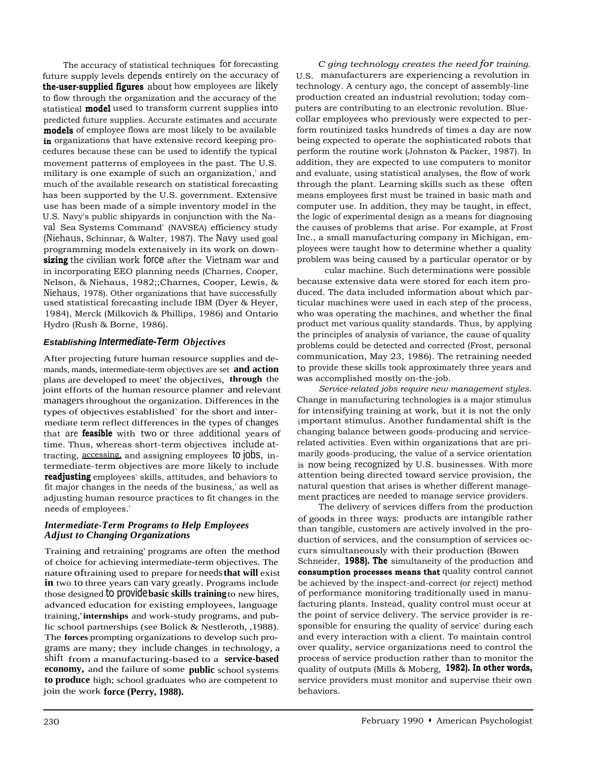The accuracy of statistical techniques for forecasting future supply levels depends entirely on the accuracy of **the-user-supplied figures** about how employees are likely to flow through the organization and the accuracy of the statistical **model** used to transform current supplies into predicted future supplies. Accurate estimates and accurate **models** of employee flows are most likely to be available **in** organizations that have extensive record keeping procedures because these can be used to identify the typical movement patterns of employees in the past. The U.S. military is one example of such an organization,' and much of the available research on statistical forecasting has been supported by the U.S. government. Extensive use has been made of a simple inventory model in the U.S. Navy's public shipyards in conjunction with the Naval Sea Systems Command' (NAVSEA) efficiency study (Niehaus, Schinnar, & Walter, 1987). The Navy used goal programming models extensively in its work on down**sizing** the civilian work force after the Vietnam war and in incorporating EEO planning needs (Charnes, Cooper, Nelson, & Niehaus, 1982;;Charnes, Cooper, Lewis, & Niehaus, 1978). Other organizations that have successfully used statistical forecasting include IBM (Dyer & Heyer, 1984), Merck (Milkovich & Phillips, 1986) and Ontario Hydro (Rush & Borne, 1986).

#### **Establishing Intermediate-Term** *Objectives*

After projecting future human resource supplies and demands, mands, intermediate-term objectives are set **and action** plans are developed to meet' the objectives, **through** the joint efforts of the human resource planner and relevant managers throughout the organization. Differences in the types of objectives established` for the short and intermediate term reflect differences in the types of changes that are **feasible** with two or three additional years of time. Thus, whereas short-term objectives include attracting, accessing, and assigning employees to jobs, intermediate-term objectives are more likely to include **readjusting** employees' skills, attitudes, and behaviors to fit major changes in the needs of the business,' as well as adjusting human resource practices to fit changes in the needs of employees.'

#### *Intermediate-Term Programs to Help Employees Adjust to Changing Organizations*

Training and retraining' programs are often the method of choice for achieving intermediate-term objectives. The nature oftraining used to prepare forneeds**that will** exist **in** two to three years can vary greatly. Programs include those designed to provide**basic skills training**to new hires, advanced education for existing employees, language training,'**internships** and work-study programs, and public school partnerships (see Bolick & Nestleroth, ,1988). The **forces** prompting organizations to develop such programs are many; they include changes in technology, a shift from a manufacturing-based to a **service-based economy,** and the failure of some **public** school systems **to produce** high; school graduates who are competent to join the work **force (Perry, 1988).**

*C ging technology creates the need for training.* U.S. manufacturers are experiencing a revolution in technology. A century ago, the concept of assembly-line production created an industrial revolution; today computers are contributing to an electronic revolution. Bluecollar employees who previously were expected to perform routinized tasks hundreds of times a day are now being expected to operate the sophisticated robots that perform the routine work (Johnston & Packer, 1987). In addition, they are expected to use computers to monitor and evaluate, using statistical analyses, the flow of work through the plant. Learning skills such as these often means employees first must be trained in basic math and computer use. In addition, they may be taught, in effect, the logic of experimental design as a means for diagnosing the causes of problems that arise. For example, at Frost Inc., a small manufacturing company in Michigan, employees were taught how to determine whether a quality problem was being caused by a particular operator or by

cular machine. Such determinations were possible because extensive data were stored for each item produced. The data included information about which particular machines were used in each step of the process, who was operating the machines, and whether the final product met various quality standards. Thus, by applying the principles of analysis of variance, the cause of quality problems could be detected and corrected (Frost, personal communication, May 23, 1986). The retraining needed to provide these skills took approximately three years and was accomplished mostly on-the-job.

*Service-related jobs require new management styles.* Change in manufacturing technologies is a major stimulus for intensifying training at work, but it is not the only important stimulus. Another fundamental shift is the changing balance between goods-producing and servicerelated activities. Even within organizations that are primarily goods-producing, the value of a service orientation is now being recognized by U.S. businesses. With more attention being directed toward service provision, the natural question that arises is whether different management practices are needed to manage service providers.

The delivery of services differs from the production of goods in three ways: products are intangible rather than tangible, customers are actively involved in the production of services, and the consumption of services occurs simultaneously with their production (Bowen Schneider, **1988). The** simultaneity of the production and **consumption processes means that** quality control cannot be achieved by the inspect-and-correct (or reject) method of performance monitoring traditionally used in manufacturing plants. Instead, quality control must occur at the point of service delivery. The service provider is responsible for ensuring the quality of service' during each and every interaction with a client. To maintain control over quality, service organizations need to control the process of service production rather than to monitor the quality of outputs (Mills & Moberg, **1982). In other words,** service providers must monitor and supervise their own behaviors.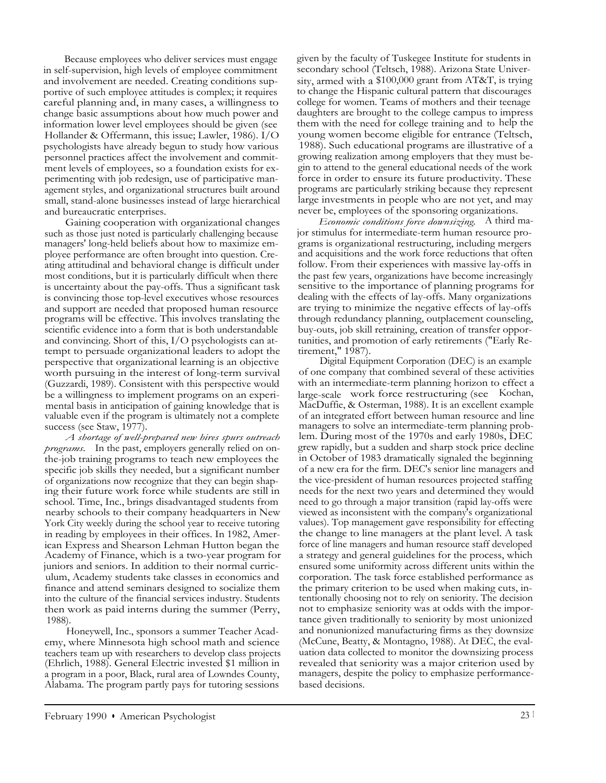Because employees who deliver services must engage in self-supervision, high levels of employee commitment and involvement are needed. Creating conditions supportive of such employee attitudes is complex; it requires careful planning and, in many cases, a willingness to change basic assumptions about how much power and information lower level employees should be given (see Hollander & Offermann, this issue; Lawler, 1986). I/O psychologists have already begun to study how various personnel practices affect the involvement and commitment levels of employees, so a foundation exists for experimenting with job redesign, use of participative management styles, and organizational structures built around small, stand-alone businesses instead of large hierarchical and bureaucratic enterprises.

Gaining cooperation with organizational changes such as those just noted is particularly challenging because managers' long-held beliefs about how to maximize employee performance are often brought into question. Creating attitudinal and behavioral change is difficult under most conditions, but it is particularly difficult when there is uncertainty about the pay-offs. Thus a significant task is convincing those top-level executives whose resources and support are needed that proposed human resource programs will be effective. This involves translating the scientific evidence into a form that is both understandable and convincing. Short of this, I/O psychologists can attempt to persuade organizational leaders to adopt the perspective that organizational learning is an objective worth pursuing in the interest of long-term survival (Guzzardi, 1989). Consistent with this perspective would be a willingness to implement programs on an experimental basis in anticipation of gaining knowledge that is valuable even if the program is ultimately not a complete success (see Staw, 1977).

*A shortage of well-prepared new hires spurs outreach programs.* In the past, employers generally relied on onthe-job training programs to teach new employees the specific job skills they needed, but a significant number of organizations now recognize that they can begin shaping their future work force while students are still in school. Time, Inc., brings disadvantaged students from nearby schools to their company headquarters in New York City weekly during the school year to receive tutoring in reading by employees in their offices. In 1982, American Express and Shearson Lehman Hutton began the Academy of Finance, which is a two-year program for juniors and seniors. In addition to their normal curriculum, Academy students take classes in economics and finance and attend seminars designed to socialize them into the culture of the financial services industry. Students then work as paid interns during the summer (Perry, 1988).

Honeywell, Inc., sponsors a summer Teacher Academy, where Minnesota high school math and science teachers team up with researchers to develop class projects (Ehrlich, 1988). General Electric invested \$1 million in a program in a poor, Black, rural area of Lowndes County, Alabama. The program partly pays for tutoring sessions

given by the faculty of Tuskegee Institute for students in secondary school (Teltsch, 1988). Arizona State University, armed with a \$100,000 grant from AT&T, is trying to change the Hispanic cultural pattern that discourages college for women. Teams of mothers and their teenage daughters are brought to the college campus to impress them with the need for college training and to help the young women become eligible for entrance (Teltsch, 1988). Such educational programs are illustrative of a growing realization among employers that they must begin to attend to the general educational needs of the work force in order to ensure its future productivity. These programs are particularly striking because they represent large investments in people who are not yet, and may never be, employees of the sponsoring organizations.

*Economic conditions force downsizing.* A third major stimulus for intermediate-term human resource programs is organizational restructuring, including mergers and acquisitions and the work force reductions that often follow. From their experiences with massive lay-offs in the past few years, organizations have become increasingly sensitive to the importance of planning programs for dealing with the effects of lay-offs. Many organizations are trying to minimize the negative effects of lay-offs through redundancy planning, outplacement counseling, buy-outs, job skill retraining, creation of transfer opportunities, and promotion of early retirements ("Early Retirement," 1987).

Digital Equipment Corporation (DEC) is an example of one company that combined several of these activities with an intermediate-term planning horizon to effect a large-scale work force restructuring (see Kochan, MacDuffie, & Osterman, 1988). It is an excellent example of an integrated effort between human resource and line managers to solve an intermediate-term planning problem. During most of the 1970s and early 1980s, DEC grew rapidly, but a sudden and sharp stock price decline in October of 1983 dramatically signaled the beginning of a new era for the firm. DEC's senior line managers and the vice-president of human resources projected staffing needs for the next two years and determined they would need to go through a major transition (rapid lay-offs were viewed as inconsistent with the company's organizational values). Top management gave responsibility for effecting the change to line managers at the plant level. A task force of line managers and human resource staff developed a strategy and general guidelines for the process, which ensured some uniformity across different units within the corporation. The task force established performance as the primary criterion to be used when making cuts, intentionally choosing not to rely on seniority. The decision not to emphasize seniority was at odds with the importance given traditionally to seniority by most unionized and nonunionized manufacturing firms as they downsize (McCune, Beatty, & Montagno, 1988). At DEC, the evaluation data collected to monitor the downsizing process revealed that seniority was a major criterion used by managers, despite the policy to emphasize performancebased decisions.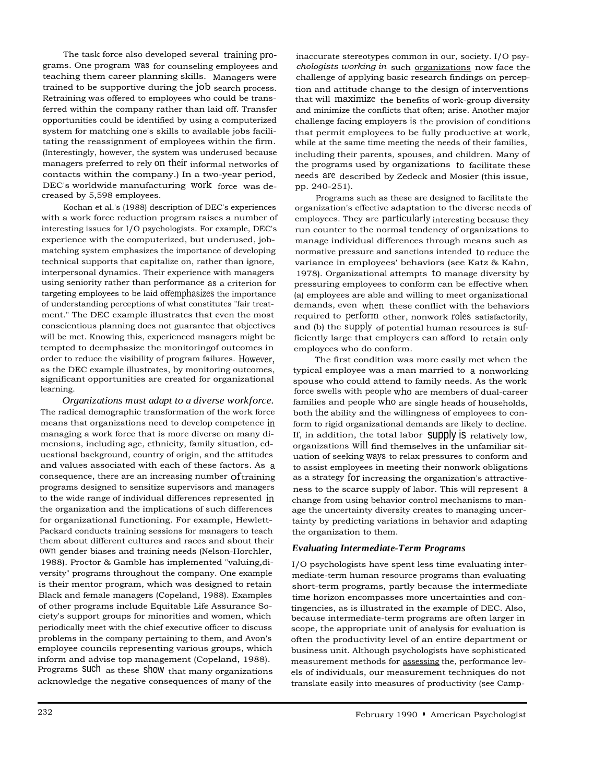The task force also developed several training programs. One program was for counseling employees and teaching them career planning skills. Managers were trained to be supportive during the job search process. Retraining was offered to employees who could be transferred within the company rather than laid off. Transfer opportunities could be identified by using a computerized system for matching one's skills to available jobs facilitating the reassignment of employees within the firm. (Interestingly, however, the system was underused because managers preferred to rely on their informal networks of contacts within the company.) In a two-year period, DEC's worldwide manufacturing work force was decreased by 5,598 employees.

Kochan et al.'s (1988) description of DEC's experiences with a work force reduction program raises a number of interesting issues for I/O psychologists. For example, DEC's experience with the computerized, but underused, jobmatching system emphasizes the importance of developing technical supports that capitalize on, rather than ignore, interpersonal dynamics. Their experience with managers using seniority rather than performance as a criterion for targeting employees to be laid offemphasizes the importance of understanding perceptions of what constitutes "fair treatment." The DEC example illustrates that even the most conscientious planning does not guarantee that objectives will be met. Knowing this, experienced managers might be tempted to deemphasize the monitoringof outcomes in order to reduce the visibility of program failures. However, as the DEC example illustrates, by monitoring outcomes, significant opportunities are created for organizational learning.

*Organizations must adapt to a diverse workforce.* The radical demographic transformation of the work force means that organizations need to develop competence in managing a work force that is more diverse on many dimensions, including age, ethnicity, family situation, educational background, country of origin, and the attitudes and values associated with each of these factors. As a consequence, there are an increasing number  $of$  training programs designed to sensitize supervisors and managers to the wide range of individual differences represented in the organization and the implications of such differences for organizational functioning. For example, Hewlett-Packard conducts training sessions for managers to teach them about different cultures and races and about their own gender biases and training needs (Nelson-Horchler, 1988). Proctor & Gamble has implemented "valuing,diversity" programs throughout the company. One example is their mentor program, which was designed to retain Black and female managers (Copeland, 1988). Examples of other programs include Equitable Life Assurance Society's support groups for minorities and women, which periodically meet with the chief executive officer to discuss problems in the company pertaining to them, and Avon's employee councils representing various groups, which inform and advise top management (Copeland, 1988). Programs such as these show that many organizations acknowledge the negative consequences of many of the

inaccurate stereotypes common in our, society. I/O psy*chologists working in* such organizations now face the challenge of applying basic research findings on perception and attitude change to the design of interventions that will maximize the benefits of work-group diversity and minimize the conflicts that often; arise. Another major challenge facing employers is the provision of conditions that permit employees to be fully productive at work, while at the same time meeting the needs of their families, including their parents, spouses, and children. Many of the programs used by organizations to facilitate these needs are described by Zedeck and Mosier (this issue, pp. 240-251).

Programs such as these are designed to facilitate the organization's effective adaptation to the diverse needs of employees. They are particularly interesting because they run counter to the normal tendency of organizations to manage individual differences through means such as normative pressure and sanctions intended to reduce the variance in employees' behaviors (see Katz & Kahn, 1978). Organizational attempts to manage diversity by pressuring employees to conform can be effective when (a) employees are able and willing to meet organizational demands, even when these conflict with the behaviors required to perform other, nonwork roles satisfactorily, and (b) the supply of potential human resources is sufficiently large that employers can afford to retain only employees who do conform.

The first condition was more easily met when the typical employee was a man married to a nonworking spouse who could attend to family needs. As the work force swells with people who are members of dual-career families and people who are single heads of households, both the ability and the willingness of employees to conform to rigid organizational demands are likely to decline. If, in addition, the total labor supply is relatively low, organizations will find themselves in the unfamiliar situation of seeking ways to relax pressures to conform and to assist employees in meeting their nonwork obligations as a strategy for increasing the organization's attractiveness to the scarce supply of labor. This will represent a change from using behavior control mechanisms to manage the uncertainty diversity creates to managing uncertainty by predicting variations in behavior and adapting the organization to them.

#### *Evaluating Intermediate-Term Programs*

I/O psychologists have spent less time evaluating intermediate-term human resource programs than evaluating short-term programs, partly because the intermediate time horizon encompasses more uncertainties and contingencies, as is illustrated in the example of DEC. Also, because intermediate-term programs are often larger in scope, the appropriate unit of analysis for evaluation is often the productivity level of an entire department or business unit. Although psychologists have sophisticated measurement methods for assessing the, performance levels of individuals, our measurement techniques do not translate easily into measures of productivity (see Camp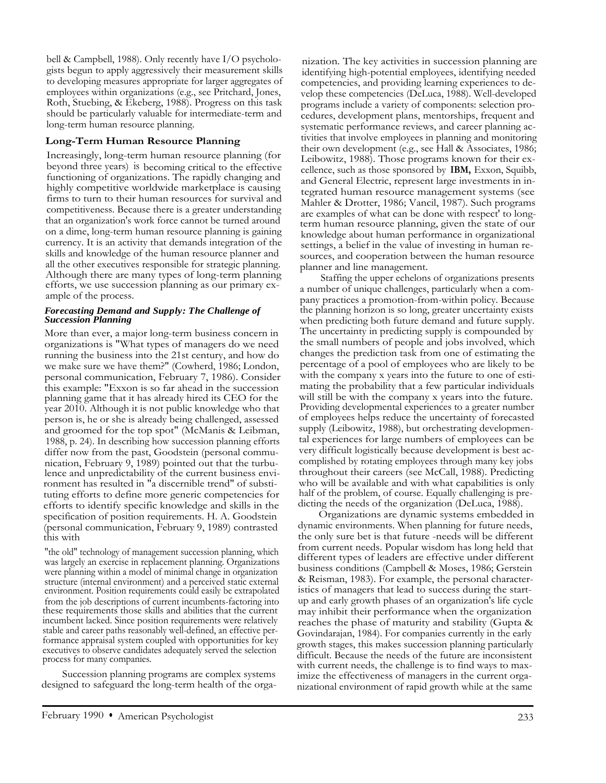bell & Campbell, 1988). Only recently have I/O psychologists begun to apply aggressively their measurement skills to developing measures appropriate for larger aggregates of employees within organizations (e.g., see Pritchard, Jones, Roth, Stuebing, & Ekeberg, 1988). Progress on this task should be particularly valuable for intermediate-term and long-term human resource planning.

## **Long-Term Human Resource Planning**

Increasingly, long-term human resource planning (for beyond three years) is becoming critical to the effective functioning of organizations. The rapidly changing and highly competitive worldwide marketplace is causing firms to turn to their human resources for survival and competitiveness. Because there is a greater understanding that an organization's work force cannot be turned around on a dime, long-term human resource planning is gaining currency. It is an activity that demands integration of the skills and knowledge of the human resource planner and all the other executives responsible for strategic planning. Although there are many types of long-term planning efforts, we use succession planning as our primary example of the process.

#### *Forecasting Demand and Supply: The Challenge of Succession Planning*

More than ever, a major long-term business concern in organizations is "What types of managers do we need running the business into the 21st century, and how do we make sure we have them?" (Cowherd, 1986; London, personal communication, February 7, 1986). Consider this example: "Exxon is so far ahead in the succession planning game that it has already hired its CEO for the year 2010. Although it is not public knowledge who that person is, he or she is already being challenged, assessed and groomed for the top spot" (McManis & Leibman, 1988, p. 24). In describing how succession planning efforts differ now from the past, Goodstein (personal communication, February 9, 1989) pointed out that the turbulence and unpredictability of the current business environment has resulted in "a discernible trend" of substituting efforts to define more generic competencies for efforts to identify specific knowledge and skills in the specification of position requirements. H. A. Goodstein (personal communication, February 9, 1989) contrasted this with

"the old" technology of management succession planning, which was largely an exercise in replacement planning. Organizations were planning within a model of minimal change in organization structure (internal environment) and a perceived static external environment. Position requirements could easily be extrapolated from the job descriptions of current incumbents-factoring into these requirements those skills and abilities that the current incumbent lacked. Since position requirements were relatively stable and career paths reasonably well-defined, an effective performance appraisal system coupled with opportunities for key executives to observe candidates adequately served the selection process for many companies.

Succession planning programs are complex systems designed to safeguard the long-term health of the orga-

nization. The key activities in succession planning are identifying high-potential employees, identifying needed competencies, and providing learning experiences to develop these competencies (DeLuca, 1988). Well-developed programs include a variety of components: selection procedures, development plans, mentorships, frequent and systematic performance reviews, and career planning activities that involve employees in planning and monitoring their own development (e.g., see Hall & Associates, 1986; Leibowitz, 1988). Those programs known for their excellence, such as those sponsored by **IBM,** Exxon, Squibb, and General Electric, represent large investments in integrated human resource management systems (see Mahler & Drotter, 1986; Vancil, 1987). Such programs are examples of what can be done with respect' to longterm human resource planning, given the state of our knowledge about human performance in organizational settings, a belief in the value of investing in human resources, and cooperation between the human resource planner and line management.

Staffing the upper echelons of organizations presents a number of unique challenges, particularly when a company practices a promotion-from-within policy. Because the planning horizon is so long, greater uncertainty exists when predicting both future demand and future supply. The uncertainty in predicting supply is compounded by the small numbers of people and jobs involved, which changes the prediction task from one of estimating the percentage of a pool of employees who are likely to be with the company x years into the future to one of estimating the probability that a few particular individuals will still be with the company x years into the future. Providing developmental experiences to a greater number of employees helps reduce the uncertainty of forecasted supply (Leibowitz, 1988), but orchestrating developmental experiences for large numbers of employees can be very difficult logistically because development is best accomplished by rotating employees through many key jobs throughout their careers (see McCall, 1988). Predicting who will be available and with what capabilities is only half of the problem, of course. Equally challenging is predicting the needs of the organization (DeLuca, 1988).

Organizations are dynamic systems embedded in dynamic environments. When planning for future needs, the only sure bet is that future -needs will be different from current needs. Popular wisdom has long held that different types of leaders are effective under different business conditions (Campbell & Moses, 1986; Gerstein & Reisman, 1983). For example, the personal characteristics of managers that lead to success during the startup and early growth phases of an organization's life cycle may inhibit their performance when the organization reaches the phase of maturity and stability (Gupta & Govindarajan, 1984). For companies currently in the early growth stages, this makes succession planning particularly difficult. Because the needs of the future are inconsistent with current needs, the challenge is to find ways to maximize the effectiveness of managers in the current organizational environment of rapid growth while at the same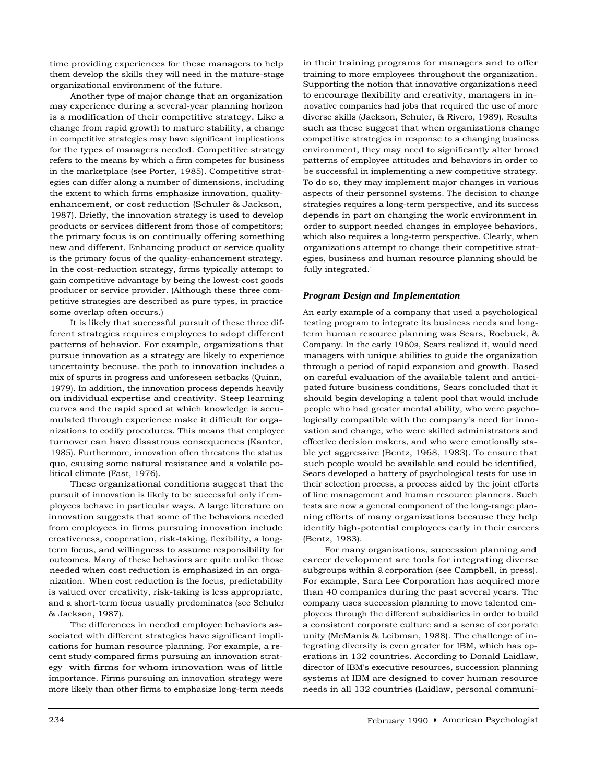time providing experiences for these managers to help them develop the skills they will need in the mature-stage organizational environment of the future.

Another type of major change that an organization may experience during a several-year planning horizon is a modification of their competitive strategy. Like a change from rapid growth to mature stability, a change in competitive strategies may have significant implications for the types of managers needed. Competitive strategy refers to the means by which a firm competes for business in the marketplace (see Porter, 1985). Competitive strategies can differ along a number of dimensions, including the extent to which firms emphasize innovation, qualityenhancement, or cost reduction (Schuler & Jackson, 1987). Briefly, the innovation strategy is used to develop products or services different from those of competitors; the primary focus is on continually offering something new and different. Enhancing product or service quality is the primary focus of the quality-enhancement strategy. In the cost-reduction strategy, firms typically attempt to gain competitive advantage by being the lowest-cost goods producer or service provider. (Although these three competitive strategies are described as pure types, in practice some overlap often occurs.)

It is likely that successful pursuit of these three different strategies requires employees to adopt different patterns of behavior. For example, organizations that pursue innovation as a strategy are likely to experience uncertainty because. the path to innovation includes a mix of spurts in progress and unforeseen setbacks (Quinn, 1979). In addition, the innovation process depends heavily on individual expertise and creativity. Steep learning curves and the rapid speed at which knowledge is accumulated through experience make it difficult for organizations to codify procedures. This means that employee turnover can have disastrous consequences (Kanter, 1985). Furthermore, innovation often threatens the status quo, causing some natural resistance and a volatile political climate (Fast, 1976).

These organizational conditions suggest that the pursuit of innovation is likely to be successful only if employees behave in particular ways. A large literature on innovation suggests that some of the behaviors needed from employees in firms pursuing innovation include creativeness, cooperation, risk-taking, flexibility, a longterm focus, and willingness to assume responsibility for outcomes. Many of these behaviors are quite unlike those needed when cost reduction is emphasized in an organization. When cost reduction is the focus, predictability is valued over creativity, risk-taking is less appropriate, and a short-term focus usually predominates (see Schuler & Jackson, 1987).

The differences in needed employee behaviors associated with different strategies have significant implications for human resource planning. For example, a recent study compared firms pursuing an innovation strategy with firms for whom innovation was of little importance. Firms pursuing an innovation strategy were more likely than other firms to emphasize long-term needs in their training programs for managers and to offer training to more employees throughout the organization. Supporting the notion that innovative organizations need to encourage flexibility and creativity, managers in innovative companies had jobs that required the use of more diverse skills (Jackson, Schuler, & Rivero, 1989). Results such as these suggest that when organizations change competitive strategies in response to a changing business environment, they may need to significantly alter broad patterns of employee attitudes and behaviors in order to be successful in implementing a new competitive strategy. To do so, they may implement major changes in various aspects of their personnel systems. The decision to change strategies requires a long-term perspective, and its success depends in part on changing the work environment in order to support needed changes in employee behaviors, which also requires a long-term perspective. Clearly, when organizations attempt to change their competitive strategies, business and human resource planning should be fully integrated.'

#### *Program Design and Implementation*

An early example of a company that used a psychological testing program to integrate its business needs and longterm human resource planning was Sears, Roebuck, & Company. In the early 1960s, Sears realized it, would need managers with unique abilities to guide the organization through a period of rapid expansion and growth. Based on careful evaluation of the available talent and anticipated future business conditions, Sears concluded that it should begin developing a talent pool that would include people who had greater mental ability, who were psychologically compatible with the company's need for innovation and change, who were skilled administrators and effective decision makers, and who were emotionally stable yet aggressive (Bentz, 1968, 1983). To ensure that such people would be available and could be identified, Sears developed a battery of psychological tests for use in their selection process, a process aided by the joint efforts of line management and human resource planners. Such tests are now a general component of the long-range planning efforts of many organizations because they help identify high-potential employees early in their careers (Bentz, 1983).

For many organizations, succession planning and career development are tools for integrating diverse subgroups within a corporation (see Campbell, in press). For example, Sara Lee Corporation has acquired more than 40 companies during the past several years. The company uses succession planning to move talented employees through the different subsidiaries in order to build a consistent corporate culture and a sense of corporate unity (McManis & Leibman, 1988). The challenge of integrating diversity is even greater for IBM, which has operations in 132 countries. According to Donald Laidlaw, director of IBM's executive resources, succession planning systems at IBM are designed to cover human resource needs in all 132 countries (Laidlaw, personal communi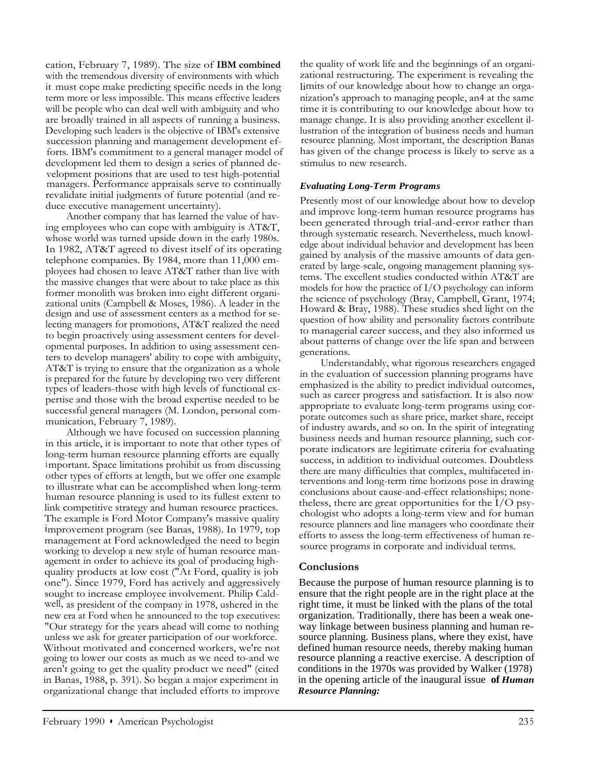cation, February 7, 1989). The size of **IBM combined** with the tremendous diversity of environments with which it must cope make predicting specific needs in the long term more or less impossible. This means effective leaders will be people who can deal well with ambiguity and who are broadly trained in all aspects of running a business. Developing such leaders is the objective of IBM's extensive succession planning and management development efforts. IBM's commitment to a general manager model of development led them to design a series of planned development positions that are used to test high-potential managers. Performance appraisals serve to continually revalidate initial judgments of future potential (and reduce executive management uncertainty).

Another company that has learned the value of having employees who can cope with ambiguity is AT&T, whose world was turned upside down in the early 1980s. In 1982, AT&T agreed to divest itself of its operating telephone companies. By 1984, more than 11,000 employees had chosen to leave AT&T rather than live with the massive changes that were about to take place as this former monolith was broken into eight different organizational units (Campbell & Moses, 1986). A leader in the design and use of assessment centers as a method for selecting managers for promotions, AT&T realized the need to begin proactively using assessment centers for developmental purposes. In addition to using assessment centers to develop managers' ability to cope with ambiguity, AT&T is trying to ensure that the organization as a whole is prepared for the future by developing two very different types of leaders-those with high levels of functional expertise and those with the broad expertise needed to be successful general managers (M. London, personal communication, February 7, 1989).

Although we have focused on succession planning in this article, it is important to note that other types of long-term human resource planning efforts are equally important. Space limitations prohibit us from discussing other types of efforts at length, but we offer one example to illustrate what can be accomplished when long-term human resource planning is used to its fullest extent to link competitive strategy and human resource practices. The example is Ford Motor Company's massive quality improvement program (see Banas, 1988). In 1979, top management at Ford acknowledged the need to begin working to develop a new style of human resource management in order to achieve its goal of producing highquality products at low cost ("At Ford, quality is job one"). Since 1979, Ford has actively and aggressively sought to increase employee involvement. Philip Caldwell, as president of the company in 1978, ushered in the new era at Ford when he announced to the top executives: "Our strategy for the years ahead will come to nothing unless we ask for greater participation of our workforce. Without motivated and concerned workers, we're not going to lower our costs as much as we need to-and we aren't going to get the quality product we need" (cited in Banas, 1988, p. 391). So began a major experiment in organizational change that included efforts to improve

the quality of work life and the beginnings of an organizational restructuring. The experiment is revealing the limits of our knowledge about how to change an organization's approach to managing people, an4 at the same time it is contributing to our knowledge about how to manage change. It is also providing another excellent illustration of the integration of business needs and human resource planning. Most important, the description Banas has given of the change process is likely to serve as a stimulus to new research.

#### *Evaluating Long-Term Programs*

Presently most of our knowledge about how to develop and improve long-term human resource programs has been generated through trial-and-error rather than through systematic research. Nevertheless, much knowledge about individual behavior and development has been gained by analysis of the massive amounts of data generated by large-scale, ongoing management planning systems. The excellent studies conducted within AT&T are models for how the practice of I/O psychology can inform the science of psychology (Bray, Campbell, Grant, 1974; Howard & Bray, 1988). These studies shed light on the question of how ability and personality factors contribute to managerial career success, and they also informed us about patterns of change over the life span and between generations.

Understandably, what rigorous researchers engaged in the evaluation of succession planning programs have emphasized is the ability to predict individual outcomes, such as career progress and satisfaction. It is also now appropriate to evaluate long-term programs using corporate outcomes such as share price, market share, receipt of industry awards, and so on. In the spirit of integrating business needs and human resource planning, such corporate indicators are legitimate criteria for evaluating success, in addition to individual outcomes. Doubtless there are many difficulties that complex, multifaceted interventions and long-term time horizons pose in drawing conclusions about cause-and-effect relationships; nonetheless, there are great opportunities for the I/O psychologist who adopts a long-term view and for human resource planners and line managers who coordinate their efforts to assess the long-term effectiveness of human resource programs in corporate and individual terms.

## **Conclusions**

Because the purpose of human resource planning is to ensure that the right people are in the right place at the right time, it must be linked with the plans of the total organization. Traditionally, there has been a weak oneway linkage between business planning and human resource planning. Business plans, where they exist, have defined human resource needs, thereby making human resource planning a reactive exercise. A description of conditions in the 1970s was provided by Walker (1978) in the opening article of the inaugural issue **of** *Human Resource Planning:*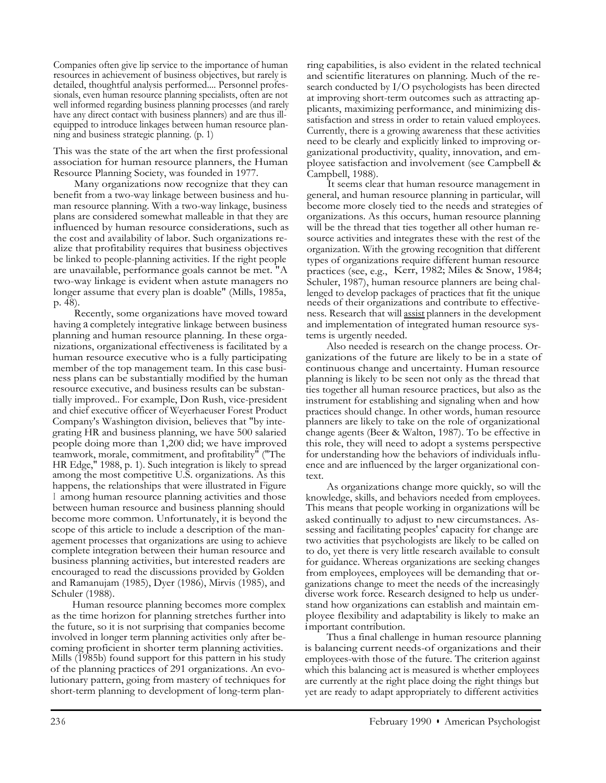Companies often give lip service to the importance of human resources in achievement of business objectives, but rarely is detailed, thoughtful analysis performed.... Personnel professionals, even human resource planning specialists, often are not well informed regarding business planning processes (and rarely have any direct contact with business planners) and are thus illequipped to introduce linkages between human resource planning and business strategic planning. (p. 1)

This was the state of the art when the first professional association for human resource planners, the Human Resource Planning Society, was founded in 1977.

Many organizations now recognize that they can benefit from a two-way linkage between business and human resource planning. With a two-way linkage, business plans are considered somewhat malleable in that they are influenced by human resource considerations, such as the cost and availability of labor. Such organizations realize that profitability requires that business objectives be linked to people-planning activities. If the right people are unavailable, performance goals cannot be met. "A two-way linkage is evident when astute managers no longer assume that every plan is doable" (Mills, 1985a, p. 48).

Recently, some organizations have moved toward having a completely integrative linkage between business planning and human resource planning. In these organizations, organizational effectiveness is facilitated by a human resource executive who is a fully participating member of the top management team. In this case business plans can be substantially modified by the human resource executive, and business results can be substantially improved.. For example, Don Rush, vice-president and chief executive officer of Weyerhaeuser Forest Product Company's Washington division, believes that "by integrating HR and business planning, we have 500 salaried people doing more than 1,200 did; we have improved teamwork, morale, commitment, and profitability" ("The HR Edge," 1988, p. 1). Such integration is likely to spread among the most competitive U.S. organizations. As this happens, the relationships that were illustrated in Figure <sup>I</sup> among human resource planning activities and those between human resource and business planning should become more common. Unfortunately, it is beyond the scope of this article to include a description of the management processes that organizations are using to achieve complete integration between their human resource and business planning activities, but interested readers are encouraged to read the discussions provided by Golden and Ramanujam (1985), Dyer (1986), Mirvis (1985), and Schuler (1988).

Human resource planning becomes more complex as the time horizon for planning stretches further into the future, so it is not surprising that companies become involved in longer term planning activities only after becoming proficient in shorter term planning activities. Mills (1985b) found support for this pattern in his study of the planning practices of 291 organizations. An evolutionary pattern, going from mastery of techniques for short-term planning to development of long-term planring capabilities, is also evident in the related technical and scientific literatures on planning. Much of the research conducted by I/O psychologists has been directed at improving short-term outcomes such as attracting applicants, maximizing performance, and minimizing dissatisfaction and stress in order to retain valued employees. Currently, there is a growing awareness that these activities need to be clearly and explicitly linked to improving organizational productivity, quality, innovation, and employee satisfaction and involvement (see Campbell & Campbell, 1988).

It seems clear that human resource management in general, and human resource planning in particular, will become more closely tied to the needs and strategies of organizations. As this occurs, human resource planning will be the thread that ties together all other human resource activities and integrates these with the rest of the organization. With the growing recognition that different types of organizations require different human resource practices (see, e.g., Kerr, 1982; Miles & Snow, 1984; Schuler, 1987), human resource planners are being challenged to develop packages of practices that fit the unique needs of their organizations and contribute to effectiveness. Research that will assist planners in the development and implementation of integrated human resource systems is urgently needed.

Also needed is research on the change process. Organizations of the future are likely to be in a state of continuous change and uncertainty. Human resource planning is likely to be seen not only as the thread that ties together all human resource practices, but also as the instrument for establishing and signaling when and how practices should change. In other words, human resource planners are likely to take on the role of organizational change agents (Beer & Walton, 1987). To be effective in this role, they will need to adopt a systems perspective for understanding how the behaviors of individuals influence and are influenced by the larger organizational context.

As organizations change more quickly, so will the knowledge, skills, and behaviors needed from employees. This means that people working in organizations will be asked continually to adjust to new circumstances. Assessing and facilitating peoples' capacity for change are two activities that psychologists are likely to be called on to do, yet there is very little research available to consult for guidance. Whereas organizations are seeking changes from employees, employees will be demanding that organizations change to meet the needs of the increasingly diverse work force. Research designed to help us understand how organizations can establish and maintain employee flexibility and adaptability is likely to make an important contribution.

Thus a final challenge in human resource planning is balancing current needs-of organizations and their employees-with those of the future. The criterion against which this balancing act is measured is whether employees are currently at the right place doing the right things but yet are ready to adapt appropriately to different activities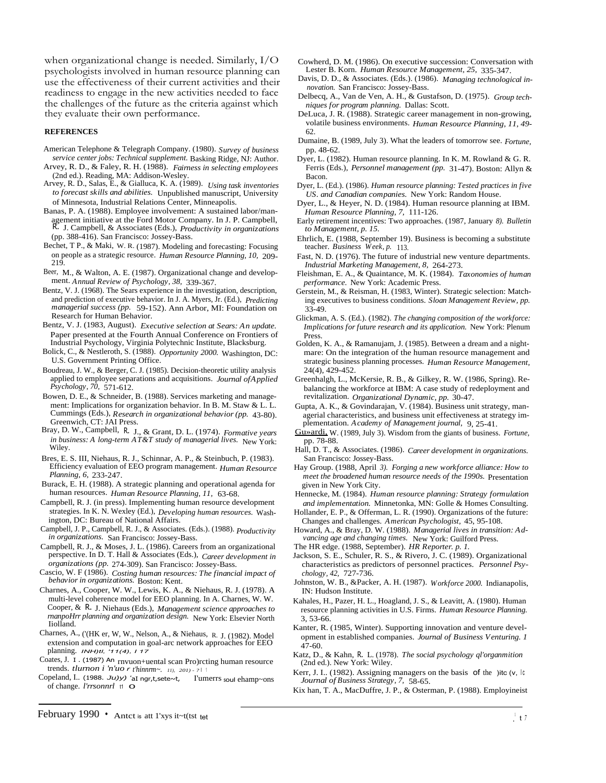when organizational change is needed. Similarly, I/O psychologists involved in human resource planning can use the effectiveness of their current activities and their readiness to engage in the new activities needed to face the challenges of the future as the criteria against which they evaluate their own performance.

#### **REFERENCES**

- American Telephone & Telegraph Company. (1980). *Survey of business service center jobs: Technical supplement.* Basking Ridge, NJ: Author.
- Arvey, R. D., & Faley, R. H. (1988). *Fairness in selecting employees* (2nd ed.). Reading, MA: Addison-Wesley.
- Arvey, R. D., Salas, E., & Gialluca, K. A. (1989). *Using task inventories to forecast skills and abilities.* Unpublished manuscript, University of Minnesota, Industrial Relations Center, Minneapolis.
- Banas, P. A. (1988). Employee involvement: A sustained labor/management initiative at the Ford Motor Company. In J. P. Campbell, R. J. Campbell, & Associates (Eds.), *Productivity in organizations* (pp. 388-416). San Francisco: Jossey-Bass.
- Bechet, T P., & Maki, W. R. (1987). Modeling and forecasting: Focusing on people as a strategic resource. *Human Resource Planning, 10,* 209-  $219$
- Beer, M., & Walton, A. E. (1987). Organizational change and development. *Annual Review of Psychology, 38,* 339-367.
- Bentz, V. J. (1968). The Sears experience in the investigation, description, and prediction of executive behavior. In J. A. Myers, Jr. (Ed.), *Predicting managerial success (pp.* 59-152). Ann Arbor, MI: Foundation on Research for Human Behavior.
- Bentz, V. J. (1983, August). *Executive selection at Sears: An update.* Paper presented at the Fourth Annual Conference on Frontiers of Industrial Psychology, Virginia Polytechnic Institute, Blacksburg.
- Bolick, C., & Nestleroth, S. (1988). *Opportunity 2000.* Washington, DC: U.S. Government Printing Office.
- Boudreau, J. W., & Berger, C. J. (1985). Decision-theoretic utility analysis applied to employee separations and acquisitions. *Journal ofApplied Psychology, 70,* 571-612.
- Bowen, D. E., & Schneider, B. (1988). Services marketing and management: Implications for organization behavior. In B. M. Staw & L. L. Cummings (Eds.), *Research in organizational behavior (pp.* 43-80). Greenwich, CT: JAI Press.
- Bray, D. W., Campbell, R. J., & Grant, D. L. (1974). *Formative years in business: A long-term AT&T study of managerial lives.* New York: Wiley.
- Bres, E. S. III, Niehaus, R. J., Schinnar, A. P., & Steinbuch, P. (1983). Efficiency evaluation of EEO program management. *Human Resource Planning, 6,* 233-247.
- Burack, E. H. (1988). A strategic planning and operational agenda for human resources. *Human Resource Planning, 11,* 63-68.
- Campbell, R. J. (in press). Implementing human resource development strategies. In K. N. Wexley (Ed.), *Developing human resources.* Washington, DC: Bureau of National Affairs.
- Campbell, J. P., Campbell, R. J., & Associates. (Eds.). (1988). *Productivity in organizations.* San Francisco: Jossey-Bass.
- Campbell, R. J., & Moses, J. L. (1986). Careers from an organizational perspective. In D. T. Hall & Associates (Eds.), *Career development in organizations (pp.* 274-309). San Francisco: Jossey-Bass.
- Cascio, W. F (1986). *Costing human resources: The financial impact of behavior in organizations.* Boston: Kent.
- Charnes, A., Cooper, W. W., Lewis, K. A., & Niehaus, R. J. (1978). A multi-level coherence model for EEO planning. In A. Charnes, W. W. Cooper, & R. J. Niehaus (Eds.), *Management science approaches to rnanpoHrr planning and organization design.* New York: Elsevier North Iiolland.
- Charnes, A., ('(HK er, W, W., Nelson, A., & Niehaus, R. J. (1982). Model extension and computation in goal-arc network approaches for EEO planning. *INH)tl, '11(4), I 17*
- Coates, J. I . (1987) An rnvuon+uental scan Pro)rcting human resource trends. *tlurnon i 'n'uo r t'hinnrm~. 11), 201) - ?* <sup>I</sup> <sup>1</sup>
- Copeland, I.. (1988. Ju)y) 'aI ngr,t,sete~t, I'umerrs soul ehamp~ons of change. *l'rrsonnrl* ti O
- Cowherd, D. M. (1986). On executive succession: Conversation with Lester B. Korn. *Human Resource Management, 25,* 335-347.
- Davis, D. D., & Associates. (Eds.). (1986). *Managing technological innovation.* San Francisco: Jossey-Bass.
- Delbecq, A., Van de Ven, A. H., & Gustafson, D. (1975). *Group techniques for program planning.* Dallas: Scott.
- DeLuca, J. R. (1988). Strategic career management in non-growing, volatile business environments. *Human Resource Planning, 11, 49-* 62.
- Dumaine, B. (1989, July 3). What the leaders of tomorrow see. *Fortune,* pp. 48-62.
- Dyer, L. (1982). Human resource planning. In K. M. Rowland & G. R. Ferris (Eds.), *Personnel management (pp.* 31-47). Boston: Allyn & Bacon.
- Dyer, L. (Ed.). (1986). *Human resource planning: Tested practices in five US. and Canadian companies.* New York: Random House.
- Dyer, L., & Heyer, N. D. (1984). Human resource planning at IBM. *Human Resource Planning, 7,* 111-126.
- Early retirement incentives: Two approaches. (1987, January *8). Bulletin to Management, p. 15.*
- Ehrlich, E. (1988, September 19). Business is becoming a substitute teacher. *Business Week, p.* 113.
- Fast, N. D. (1976). The future of industrial new venture departments. *Industrial Marketing Management, 8,* 264-273.
- Fleishman, E. A., & Quaintance, M. K. (1984). *Taxonomies of human performance.* New York: Academic Press.
- Gerstein, M., & Reisman, H. (1983, Winter). Strategic selection: Matching executives to business conditions. *Sloan Management Review, pp.* 33-49.
- Glickman, A. S. (Ed.). (1982). *The changing composition of the workforce: Implications for future research and its application.* New York: Plenum Press.
- Golden, K. A., & Ramanujam, J. (1985). Between a dream and a nightmare: On the integration of the human resource management and strategic business planning processes. *Human Resource Management,* 24(4), 429-452.
- Greenhalgh, L., McKersie, R. B., & Gilkey, R. W. (1986, Spring). Rebalancing the workforce at IBM: A case study of redeployment and revitalization. *Organizational Dynamic, pp.* 30-47.
- Gupta, A. K., & Govindarajan, V. (1984). Business unit strategy, managerial characteristics, and business unit effectiveness at strategy implementation. *Academy of Management journal,* 9, 25-41.
- Gu»ardi, W. (1989, July 3). Wisdom from the giants of business. *Fortune,* pp. 78-88.
- Hall, D. T., & Associates. (1986). *Career development in organizations.* San Francisco: Jossey-Bass.
- Hay Group. (1988, April *3). Forging a new workforce alliance: How to meet the broadened human resource needs of the 1990s.* Presentation given in New York City.
- Hennecke, M. (1984). *Human resource planning: Strategy formulation and implementation.* Minnetonka, MN: Golle & Homes Consulting.
- Hollander, E. P., & Offerman, L. R. (1990). Organizations of the future: Changes and challenges. *American Psychologist,* 45, 95-108.
- Howard, A., & Bray, D. W. (1988). *Managerial lives in transition: Advancing age and changing times.* New York: Guilford Press.
- The HR edge. (1988, September). *HR Reporter. p. 1.*
- Jackson, S. E., Schuler, R. S., & Rivero, J. C. (1989). Organizational characteristics as predictors of personnel practices. *Personnel Psychology, 42,* 727-736.
- Johnston, W. B., &Packer, A. H. (1987). *Workforce 2000.* Indianapolis, IN: Hudson Institute.
- Kahales, H., Pazer, H. L., Hoagland, J. S., & Leavitt, A. (1980). Human resource planning activities in U.S. Firms. *Human Resource Planning.* 3, 53-66.
- Kanter, R. (1985, Winter). Supporting innovation and venture development in established companies. *Journal of Business Venturing. 1* 47-60.
- Katz, D., & Kahn, R. L. (1978). *The social psychology ql'organmition* (2nd ed.). New York: Wiley.
- Kerr, J. I.. (1982). Assigning managers on the basis of the )itc (v, lt *Journal ofBusiness Strategy, 7,* 58-65.
- Kix han, T. A., MacDuffre, J. P., & Osterman, P. (1988). Employineist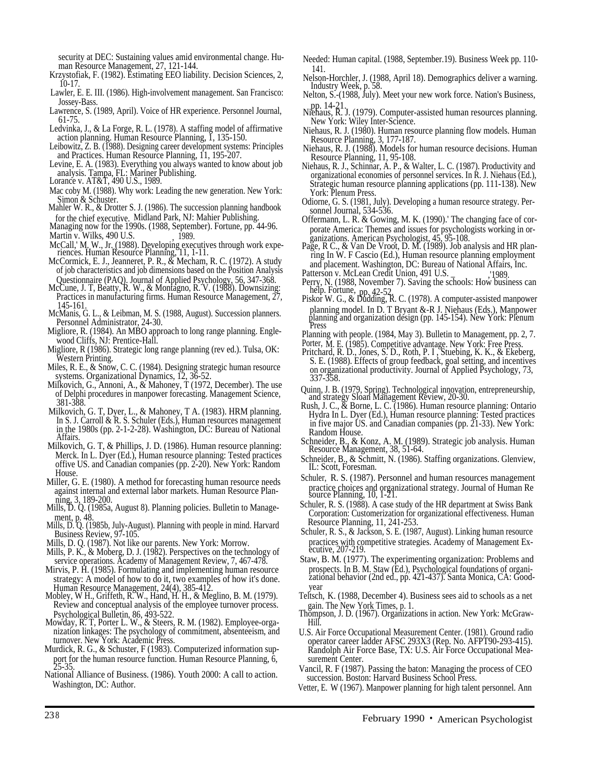security at DEC: Sustaining values amid environmental change. Human Resource Management, 27, 121-144.

- Krzystofiak, F. (1982). Estimating EEO liability. Decision Sciences, 2, 10-17.
- Lawler, E. E. III. (1986). High-involvement management. San Francisco: Jossey-Bass.
- Lawrence, S. (1989, April). Voice of HR experience. Personnel Journal, 61-75.
- Ledvinka, J., & La Forge, R. L. (1978). A staffing model of affirmative action planning. Human Resource Planning, 1, 135-150.
- Leibowitz, Z. B. (1988). Designing career development systems: Principles and Practices. Human Resource Planning, 11, 195-207.
- Levine, E. A. (1983). Everything you always wanted to know about job
- analysis. Tampa, FL: Mariner Publishing. Lorance v. AT&T, 490 U.S., 1989.
- Mac coby M. (1988). Why work: Leading the new generation. New York: Simon & Schuster.
- Mahler W. R., & Drotter S. J. (1986). The succession planning handbook for the chief executive. Midland Park, NJ: Mahier Publishing.
- Managing now for the 1990s. (1988, September). Fortune, pp. 44-96. Martin v. Wilks, 490 U.S. , 1989.
- 
- McCall,' M. W., Jr. (1988). Developing executives through work expe-riences. Human Resource Planning, 11, 1-11. McCormick, E. J., Jeanneret, P. R., & Mecham, R. C. (1972). A study of job characteristics and job dimensions based on the Position Analysis
- Questionnaire (PAQ). Journal of Applied Psychology, 56, 347-368. McCune, J. T, Beatty, R. W., & Montagno, R. V. (1988). Downsizing:
- Practices in manufacturing firms. Human Resource Management, 27, 145-161.
- McManis, G. L., & Leibman, M. S. (1988, August). Succession planners. Personnel Administrator, 24-30.
- Migliore, R. (1984). An MBO approach to long range planning. Englewood Cliffs, NJ: Prentice-Hall.
- Migliore, R (1986). Strategic long range planning (rev ed.). Tulsa, OK: Western Printing.
- Miles, R. E., & Snow, C. C. (1984). Designing strategic human resource systems. Organizational Dynamics, 12, 36-52.
- Milkovich, G., Annoni, A., & Mahoney, T (1972, December). The use of Delphi procedures in manpower forecasting. Management Science, 381-388.
- Milkovich, G. T, Dyer, L., & Mahoney, T A. (1983). HRM planning. In S. J. Carroll & R. S. Schuler (Eds.), Human resources management in the 1980s (pp. 2-1-2-28). Washington, DC: Bureau of National Affairs.
- Milkovich, G. T, & Phillips, J. D. (1986). Human resource planning: Merck. In L. Dyer (Ed.), Human resource planning: Tested practices offive US. and Canadian companies (pp. 2-20). New York: Random House.
- Miller, G. E. (1980). A method for forecasting human resource needs against internal and external labor markets. Human Resource Plan-
- ning, 3, 189-200. Mills, D. Q. (1985a, August 8). Planning policies. Bulletin to Manage-
- ment, p. 48. Mills, D. Q. (1985b, July-August). Planning with people in mind. Harvard Business Review, 97-105.
- Mills, D. Q. (1987). Not like our parents. New York: Morrow.
- Mills, P. K., & Moberg, D. J. (1982). Perspectives on the technology of service operations. Academy of Management Review, 7, 467-478.
- Mirvis, P. H. (1985). Formulating and implementing human resource strategy: A model of how to do it, two examples of how it's done. Human Resource Management, 24(4), 385-412.
- Mobley, W H., Griffeth, R. W., Hand, H. H., & Meglino, B. M. (1979). Review and conceptual analysis of the employee turnover process.
- Psychological Bulletin, 86, 493-522. Mowday, R. T, Porter L. W., & Steers, R. M. (1982). Employee-organization linkages: The psychology of commitment, absenteeism, and turnover. New York: Academic Press.
- Murdick, R. G., & Schuster, F (1983). Computerized information support for the human resource function. Human Resource Planning, 6, 25-35.
- National Alliance of Business. (1986). Youth 2000: A call to action. Washington, DC: Author.
- Needed: Human capital. (1988, September.19). Business Week pp. 110- 141.
- Nelson-Horchler, J. (1988, April 18). Demographics deliver a warning. Industry Week, p. 58.
- Nelton, S.-(1988, July). Meet your new work force. Nation's Business,
- pp. 14-21. Niehaus, R. J. (1979). Computer-assisted human resources planning. New York: Wiley Inter-Science.
- Niehaus, R. J. (1980). Human resource planning flow models. Human Resource Planning, 3, 177-187.
- Niehaus, R. J. (1988). Models for human resource decisions. Human Resource Planning, 11, 95-108.
- Niehaus, R. J., Schinnar, A. P., & Walter, L. C. (1987). Productivity and organizational economies of personnel services. In R. J. Niehaus (Ed.), Strategic human resource planning applications (pp. 111-138). New York: Plenum Press.
- Odiorne, G. S. (1981, July). Developing a human resource strategy. Personnel Journal, 534-536.
- Offermann, L. R. & Gowing, M. K. (1990).' The changing face of corporate America: Themes and issues for psychologists working in organizations. American Psychologist, 45, 95-108.
- Page, R C., & Van De Vroot, D. M. (1989). Job analysis and HR planring In W. F Cascio (Ed.), Human resource planning employment and placement. Washington, DC: Bureau of National Affairs, Inc.
- Patterson v. McLean Credit Union, 491 U.S. Perry, N. (1988, November 7). Saving the schools: How business can
- help. Fortune, pp. 42-52. Piskor W. G., & Dudding, R. C. (1978). A computer-assisted manpower planning model. In D. T Bryant &-R J. Niehaus (Eds.), Manpower planning and organization design (pp. 145-154). New York: Plenum Press
- Planning with people. (1984, May 3). Bulletin to Management, pp. 2, 7. Porter, M. E. (1985). Competitive advantage. New York: Free Press.
- Pritchard, R. D., Jones, S. D., Roth, P. I , Stuebing, K. K., & Ekeberg, S. E. (1988). Effects of group feedback, goal setting, and incentives on organizational productivity. Journal of Applied Psychology, 73, 337-358.
- Quinn, J. B. (1979, Spring). Technological innovation, entrepreneurship, and strategy Sloan Management Review, 20-30.
- Rush, J. C., & Borne, L. C. (1986). Human resource planning: Ontario Hydra In L. Dyer (Ed.), Human resource planning: Tested practices in five major US. and Canadian companies (pp. 21-33). New York: Random House.
- Schneider, B., & Konz, A. M. (1989). Strategic job analysis. Human Resource Management, 38, 51-64.
- Schneider, B., & Schmitt, N. (1986). Staffing organizations. Glenview, IL: Scott, Foresman.
- Schuler, R. S. (1987). Personnel and human resources management practice choices and organizational strategy. Journal of Human Re source Planning, 10, 1-21.
- Schuler, R. S. (1988). A case study of the HR department at Swiss Bank Corporation: Customerization for organizational effectiveness. Human Resource Planning, 11, 241-253.
- Schuler, R. S., & Jackson, S. E. (1987, August). Linking human resource practices with competitive strategies. Academy of Management Ex-ecutive, 207-219.
- Staw, B. M. (1977). The experimenting organization: Problems and prospects. In B. M. Staw (Ed.), Psychological foundations of organi-zational behavior (2nd ed., pp. 421-437). Santa Monica, CA: Goodyear
- Teltsch, K. (1988, December 4). Business sees aid to schools as a net
- gain. The New York Times, p. 1. Thompson, J. D. (1967). Organizations in action. New York: McGraw-Hill.
- U.S. Air Force Occupational Measurement Center. (1981). Ground radio operator career ladder AFSC 293X3 (Rep. No. AFPT90-293-415). Randolph Air Force Base, TX: U.S. Air Force Occupational Measurement Center.
- Vancil, R. F (1987). Passing the baton: Managing the process of CEO succession. Boston: Harvard Business School Press.
- Vetter, E. W (1967). Manpower planning for high talent personnel. Ann